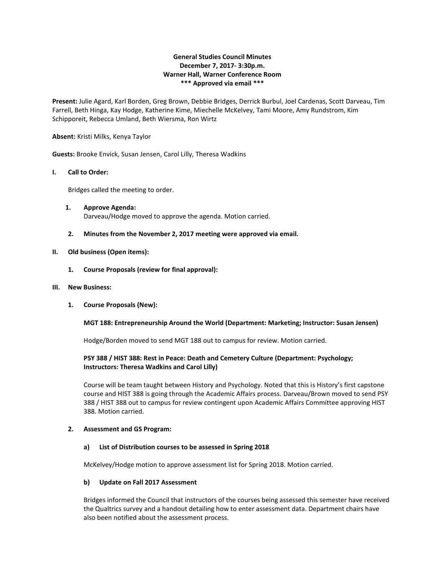# **General Studies Council Minutes December 7, 2017- 3:30p.m. Warner Hall, Warner Conference Room \*\*\* Approved via email \*\*\***

**Present:** Julie Agard, Karl Borden, Greg Brown, Debbie Bridges, Derrick Burbul, Joel Cardenas, Scott Darveau, Tim Farrell, Beth Hinga, Kay Hodge, Katherine Kime, Miechelle McKelvey, Tami Moore, Amy Rundstrom, Kim Schipporeit, Rebecca Umland, Beth Wiersma, Ron Wirtz

#### **Absent:** Kristi Milks, Kenya Taylor

**Guests:** Brooke Envick, Susan Jensen, Carol Lilly, Theresa Wadkins

### **I. Call to Order:**

Bridges called the meeting to order.

- **1. Approve Agenda:** Darveau/Hodge moved to approve the agenda. Motion carried.
- **2. Minutes from the November 2, 2017 meeting were approved via email.**

### **II. Old business (Open items):**

**1. Course Proposals (review for final approval):** 

#### **III. New Business:**

**1. Course Proposals (New):**

### **MGT 188: Entrepreneurship Around the World (Department: Marketing; Instructor: Susan Jensen)**

Hodge/Borden moved to send MGT 188 out to campus for review. Motion carried.

## **PSY 388 / HIST 388: Rest in Peace: Death and Cemetery Culture (Department: Psychology; Instructors: Theresa Wadkins and Carol Lilly)**

Course will be team taught between History and Psychology. Noted that this is History's first capstone course and HIST 388 is going through the Academic Affairs process. Darveau/Brown moved to send PSY 388 / HIST 388 out to campus for review contingent upon Academic Affairs Committee approving HIST 388. Motion carried.

#### **2. Assessment and GS Program:**

#### **a) List of Distribution courses to be assessed in Spring 2018**

McKelvey/Hodge motion to approve assessment list for Spring 2018. Motion carried.

#### **b) Update on Fall 2017 Assessment**

Bridges informed the Council that instructors of the courses being assessed this semester have received the Qualtrics survey and a handout detailing how to enter assessment data. Department chairs have also been notified about the assessment process.